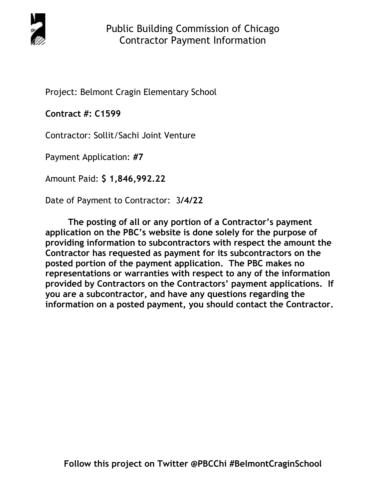

Project: Belmont Cragin Elementary School

**Contract #: C1599**

Contractor: Sollit/Sachi Joint Venture

Payment Application: **#7** 

Amount Paid: **\$ 1,846,992.22** 

Date of Payment to Contractor: 3**/4/22** 

**The posting of all or any portion of a Contractor's payment application on the PBC's website is done solely for the purpose of providing information to subcontractors with respect the amount the Contractor has requested as payment for its subcontractors on the posted portion of the payment application. The PBC makes no representations or warranties with respect to any of the information provided by Contractors on the Contractors' payment applications. If you are a subcontractor, and have any questions regarding the information on a posted payment, you should contact the Contractor.**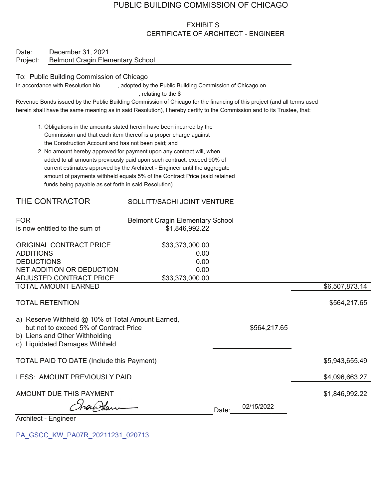# PUBLIC BUILDING COMMISSION OF CHICAGO

## **EXHIBIT S** CERTIFICATE OF ARCHITECT - ENGINEER

| Date:    | December 31, 2021                       |
|----------|-----------------------------------------|
| Project: | <b>Belmont Cragin Elementary School</b> |

### To: Public Building Commission of Chicago

In accordance with Resolution No. , adopted by the Public Building Commission of Chicago on , relating to the \$

Revenue Bonds issued by the Public Building Commission of Chicago for the financing of this project (and all terms used herein shall have the same meaning as in said Resolution), I hereby certify to the Commission and to its Trustee, that:

- 1. Obligations in the amounts stated herein have been incurred by the Commission and that each item thereof is a proper charge against the Construction Account and has not been paid; and
- 2. No amount hereby approved for payment upon any contract will, when added to all amounts previously paid upon such contract, exceed 90% of current estimates approved by the Architect - Engineer until the aggregate amount of payments withheld equals 5% of the Contract Price (said retained funds being payable as set forth in said Resolution).

## THE CONTRACTOR

### SOLLITT/SACHI JOINT VENTURE

| <b>FOR</b>                                                                                                                                                      | <b>Belmont Cragin Elementary School</b> |       |              |                |
|-----------------------------------------------------------------------------------------------------------------------------------------------------------------|-----------------------------------------|-------|--------------|----------------|
| is now entitled to the sum of                                                                                                                                   | \$1,846,992.22                          |       |              |                |
| ORIGINAL CONTRACT PRICE                                                                                                                                         | \$33,373,000.00                         |       |              |                |
| <b>ADDITIONS</b>                                                                                                                                                | 0.00                                    |       |              |                |
| <b>DEDUCTIONS</b>                                                                                                                                               | 0.00                                    |       |              |                |
| NET ADDITION OR DEDUCTION                                                                                                                                       | 0.00                                    |       |              |                |
| ADJUSTED CONTRACT PRICE                                                                                                                                         | \$33,373,000.00                         |       |              |                |
| <b>TOTAL AMOUNT EARNED</b>                                                                                                                                      |                                         |       |              | \$6,507,873.14 |
| <b>TOTAL RETENTION</b>                                                                                                                                          |                                         |       |              | \$564,217.65   |
| a) Reserve Withheld @ 10% of Total Amount Earned,<br>but not to exceed 5% of Contract Price<br>b) Liens and Other Withholding<br>c) Liquidated Damages Withheld |                                         |       | \$564,217.65 |                |
| TOTAL PAID TO DATE (Include this Payment)                                                                                                                       |                                         |       |              | \$5,943,655.49 |
| LESS: AMOUNT PREVIOUSLY PAID                                                                                                                                    |                                         |       |              | \$4,096,663.27 |
| AMOUNT DUE THIS PAYMENT                                                                                                                                         |                                         |       |              | \$1,846,992.22 |
|                                                                                                                                                                 |                                         | Date: | 02/15/2022   |                |
| Architect - Engineer                                                                                                                                            |                                         |       |              |                |

PA GSCC KW PA07R 20211231 020713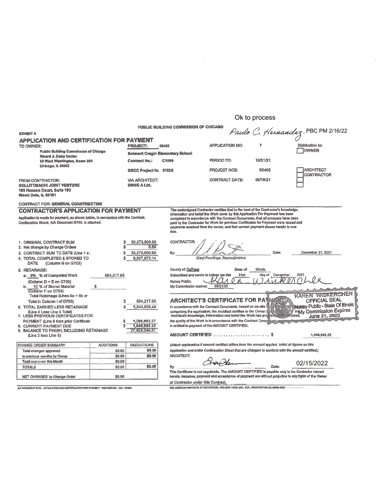## Ok to process

|                                                                                                                                                                         |                                  |                                                        | PUBLIC BUILDING COMMISSION OF CHICAGO |                                                                                                                                                                                                                                                            |                                  |                                                     |  |  |
|-------------------------------------------------------------------------------------------------------------------------------------------------------------------------|----------------------------------|--------------------------------------------------------|---------------------------------------|------------------------------------------------------------------------------------------------------------------------------------------------------------------------------------------------------------------------------------------------------------|----------------------------------|-----------------------------------------------------|--|--|
| <b>EXHIBIT A</b>                                                                                                                                                        |                                  |                                                        |                                       |                                                                                                                                                                                                                                                            |                                  | Paulo C. Hernandez, PBC PM 2/16/22                  |  |  |
| <b>APPLICATION AND CERTIFICATION FOR PAYMENT</b><br>TO OWNER:<br>Public Building Commission of Chicago                                                                  | <b>PROJECT:</b>                  | 05405                                                  | <b>APPLICATION NO:</b>                | 7                                                                                                                                                                                                                                                          | Distribution to:<br><b>OWNER</b> |                                                     |  |  |
| <b>Ricard J. Daley Center</b>                                                                                                                                           | Beimont Cragin Elementary School |                                                        |                                       |                                                                                                                                                                                                                                                            |                                  |                                                     |  |  |
| 50 West Washington, Room 200<br>Chicago, IL 60602                                                                                                                       |                                  | <b>Contract No.:</b>                                   | C1599                                 | PERIOD TO:                                                                                                                                                                                                                                                 | 12/31/21                         |                                                     |  |  |
|                                                                                                                                                                         |                                  | GSCC Project No 21025                                  |                                       | <b>PROJECT NOS:</b>                                                                                                                                                                                                                                        | 05405                            | <b>ARCHITECT</b><br>CONTRACTOR                      |  |  |
| FROM CONTRACTOR:<br>SOLLITT/SACHI JOINT VENTURE<br>185 Hansen Court, Suite 100<br>Wood Dale, IL 60191                                                                   |                                  | <b>VIA ARCHITECT:</b><br><b>SMNG A Ltd.</b>            |                                       | CONTRACT DATE:                                                                                                                                                                                                                                             | 05/18/21                         |                                                     |  |  |
| <b>CONTRACT FOR: GENERAL CONSTRUCTION</b>                                                                                                                               |                                  |                                                        |                                       |                                                                                                                                                                                                                                                            |                                  |                                                     |  |  |
| <b>CONTRACTOR'S APPLICATION FOR PAYMENT</b>                                                                                                                             |                                  |                                                        |                                       | The undersigned Contractor certifies that to the best of the Contractor's knowledge,<br>information and belief the Work cover by this Application For Payment has been                                                                                     |                                  |                                                     |  |  |
| Application is made for payment, as shown below, in connection with the Contract.<br>Continuation Sheet, AIA Document G703, is attached.                                |                                  |                                                        | due.                                  | completed in accordance with the Contract Documents, that all amounts have been<br>paid by the Contractor for Work for previous Certificates for Payment were Issued and<br>payments received from the owner, and that current payment shown herein is now |                                  |                                                     |  |  |
| 1. ORIGINAL CONTRACT SUM<br>2. Net change by Change Orders<br>3. CONTRACT SUM TO DATE (Line 1 ±:<br>4. TOTAL COMPLETED & STORED TO<br>(Column G on G703)<br><b>DATE</b> |                                  | 33,373,000.00<br>0.00<br>33,373,000.00<br>6,507,873.14 | CONTRACTOR:<br>By:                    | Daryl Poortinga, Representative                                                                                                                                                                                                                            | Date:                            | Dacember 31, 2021                                   |  |  |
| 5. RETAINAGE:                                                                                                                                                           |                                  |                                                        | County of: DuPage                     | State of:                                                                                                                                                                                                                                                  | lilinois                         |                                                     |  |  |
| a. 9% % of Completed Work                                                                                                                                               | 564,217.65                       |                                                        |                                       | Subscribed and swom to before me this<br>day of December<br>2021<br>31st                                                                                                                                                                                   |                                  |                                                     |  |  |
| (Column $D + E$ on G703)                                                                                                                                                |                                  |                                                        | Notary Public:                        |                                                                                                                                                                                                                                                            |                                  |                                                     |  |  |
| 10 % of Stored Material                                                                                                                                                 | \$                               |                                                        | My Commission expires:                | 06/21/25                                                                                                                                                                                                                                                   |                                  |                                                     |  |  |
| (Column F on G703)                                                                                                                                                      |                                  |                                                        |                                       |                                                                                                                                                                                                                                                            |                                  | <b>KAREN WISKERCHEN</b>                             |  |  |
| Total Retainage (Lines 5a + 5b or<br>Total in Column I of G703)                                                                                                         |                                  | 564,217.65                                             |                                       | <b>ARCHITECT'S CERTIFICATE FOR PAY</b>                                                                                                                                                                                                                     |                                  | OFFICIAL SEAL                                       |  |  |
| 6. TOTAL EARNED LESS RETAINAGE                                                                                                                                          |                                  | 5,943,655.49                                           |                                       | In accordance with the Contract Documents, based on on-site of                                                                                                                                                                                             |                                  | Wedany Public - State Of Illinois                   |  |  |
| (Line 4 Less Line 5 Total)<br>7. LESS PREVIOUS CERTIFICATES FOR                                                                                                         |                                  |                                                        |                                       | comprising the application, the Architect certifias to the Owner that<br>Architect's knowledge, information and belief the Work has program                                                                                                                |                                  | In My Commission Expires<br>June 21, 2025<br>cated. |  |  |
| PAYMENT (Line 6 from prior Certificate                                                                                                                                  |                                  | 4,096,663.27                                           |                                       | the quality of the Work is in accordance with the Contract Docup                                                                                                                                                                                           |                                  |                                                     |  |  |
| <b>8. CURRENT PAYMENT DUE</b>                                                                                                                                           |                                  | 1,846,992.22                                           |                                       | is entitled to payment of the AMOUNT CERTIFIED.                                                                                                                                                                                                            |                                  |                                                     |  |  |
| 9. BALANCE TO FINISH, INCLUDING RETAINAGE<br>(Line 3 less Line 6)                                                                                                       |                                  | 27.429.344.51                                          |                                       | AMOUNT CERTIFIED  \$                                                                                                                                                                                                                                       |                                  | 1,846,992.22                                        |  |  |
| CHANGE ORDER SUMMARY                                                                                                                                                    | <b>ADDITIONS</b>                 | <b>DEDUCTIONS</b>                                      |                                       | (Attach explanation if amount certified differs from the amount applied. Initial all figures on this                                                                                                                                                       |                                  |                                                     |  |  |
| Total changes approved                                                                                                                                                  | \$0,00                           | \$0.00                                                 |                                       | Application and onthe Continuation Sheet that are changed to conform with the amount certified.)                                                                                                                                                           |                                  |                                                     |  |  |
| in previous months by Owner                                                                                                                                             | \$0.00                           | \$0.00                                                 | <b>ARCHITECT:</b>                     |                                                                                                                                                                                                                                                            |                                  |                                                     |  |  |
| Total approved this Month                                                                                                                                               | \$0.00                           |                                                        |                                       | han Kan                                                                                                                                                                                                                                                    |                                  | 02/15/2022                                          |  |  |
| <b>TOTALS</b>                                                                                                                                                           | S0.00                            | \$0.00                                                 | By:                                   |                                                                                                                                                                                                                                                            | Date:                            |                                                     |  |  |
| NET CHANGES by Change Order                                                                                                                                             | \$0.00                           |                                                        |                                       | This Certificate is not negotiable. The AMOUNT CERTIFIED is payable only to the Contractor named<br>herein. Issuance, payment and acceptance of payment are without prejudice to any rights of the Owner                                                   |                                  |                                                     |  |  |
|                                                                                                                                                                         |                                  |                                                        | or Contractor under this Contract.    | THE AUSSINAN INCORPORATION TO A THE MEM YORK AND IN MARINATION OF SAMA 5001                                                                                                                                                                                |                                  |                                                     |  |  |

 $\bar{\pi}$ 

AIA DOCUMENT G702 - APPLICATION AND CERTIFICATION FOR PAYMENT - 1932 EDITION - AIA - 01932

THE AMERICAN INSTITUTE OF ARCHITECTS, 1735 NEW YORK AVE., N.W., WASHINGTON, BC-20006-6292-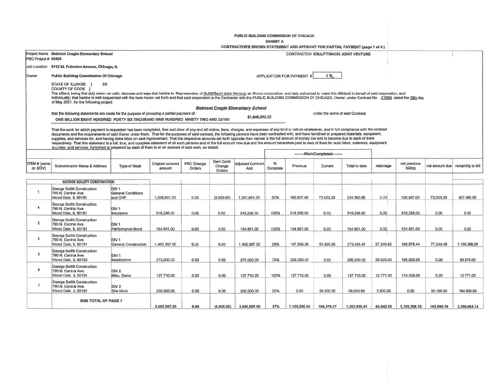PUBLIC BUILDING COMMISSION OF CHICAGO

**EXHIBIT A** 

|                         |                                                                                                                                                                                                                                                                                                                                                                                                                                                                                                                                                                                                                                                                                                                                                                                                                                                                                                                                                                 |                                                          |                             |                      |                                | CONTRACTOR'S SWORN STATEMENT AND AFFIDAVIT FOR PARTIAL PAYMENT (page 1 of 4) |               |                           |                                   |                                               |           |                         |                |                   |
|-------------------------|-----------------------------------------------------------------------------------------------------------------------------------------------------------------------------------------------------------------------------------------------------------------------------------------------------------------------------------------------------------------------------------------------------------------------------------------------------------------------------------------------------------------------------------------------------------------------------------------------------------------------------------------------------------------------------------------------------------------------------------------------------------------------------------------------------------------------------------------------------------------------------------------------------------------------------------------------------------------|----------------------------------------------------------|-----------------------------|----------------------|--------------------------------|------------------------------------------------------------------------------|---------------|---------------------------|-----------------------------------|-----------------------------------------------|-----------|-------------------------|----------------|-------------------|
| PBC Project # 05405     | Project Name Belmont Cragin Elementary School                                                                                                                                                                                                                                                                                                                                                                                                                                                                                                                                                                                                                                                                                                                                                                                                                                                                                                                   |                                                          |                             |                      |                                |                                                                              |               |                           |                                   | <b>CONTRACTOR SOLLITT/SACHI JOINT VENTURE</b> |           |                         |                |                   |
|                         | Job Location 6112 W. Fullerton Avenue, Chicago, IL                                                                                                                                                                                                                                                                                                                                                                                                                                                                                                                                                                                                                                                                                                                                                                                                                                                                                                              |                                                          |                             |                      |                                |                                                                              |               |                           |                                   |                                               |           |                         |                |                   |
| Owner                   | <b>Public Building Commission Of Chicago</b>                                                                                                                                                                                                                                                                                                                                                                                                                                                                                                                                                                                                                                                                                                                                                                                                                                                                                                                    |                                                          |                             |                      |                                |                                                                              |               | APPLICATION FOR PAYMENT # | 7R                                |                                               |           |                         |                |                   |
|                         | STATE OF ILLINOIS }<br><b>SS</b><br>COUNTY OF COOK }<br>The affiant, being first duly sworn on cath, deposes and says that he/she is Representive, of Sollitt/Sachi Joint Venture, an Illinois corporation, and duly authorized to make this Affidavit in behalf of said corporation,<br>individually; that he/she is well acquainted with the facts herein set forth and that said corporation is the Contractor with the PUBLIC BUILDING COMMISSION OF CHICAGO, Owner, under Contract No. C1599 dated the 18th day<br>of May 2021, for the following project:                                                                                                                                                                                                                                                                                                                                                                                                 |                                                          |                             |                      |                                |                                                                              |               |                           |                                   |                                               |           |                         |                |                   |
|                         |                                                                                                                                                                                                                                                                                                                                                                                                                                                                                                                                                                                                                                                                                                                                                                                                                                                                                                                                                                 |                                                          |                             |                      |                                | <b>Belmont Cragin Elementary School</b>                                      |               |                           |                                   |                                               |           |                         |                |                   |
|                         | that the following statements are made for the purpose of procuring a partial payment of:<br>ONE MILLION EIGHT HUNDRED FORTY SIX THOUSAND NINE HUNDRED NINETY TWO AND 22/100                                                                                                                                                                                                                                                                                                                                                                                                                                                                                                                                                                                                                                                                                                                                                                                    |                                                          |                             |                      |                                | \$1,846,992.22                                                               |               |                           | under the terms of said Contract; |                                               |           |                         |                |                   |
|                         | That the work for which payment is requested has been completed, free and clear of any and all claims, liens, charges, and expenses of any kind or nature whatsoever, and in full compliance with the contract<br>documents and the requirements of said Owner under them. That for the purposes of said contract, the following persons have been contracted with, and have furnished or prepared materials, equipment,<br>supplies, and services for, and having done labor on said improvement. That the respective amounts set forth opposite their names is the full amount of money die and to become due to each of them<br>respectively. That this statement is a full, true, and complete statement of all such persons and of the full amount now due and the amount heretofore paid to each of them for such labor, materials, equipment,<br>supplies, and services, furnished or prepared by each of them to or on account of said work, as stated: |                                                          |                             |                      |                                |                                                                              |               |                           |                                   |                                               |           |                         |                |                   |
|                         |                                                                                                                                                                                                                                                                                                                                                                                                                                                                                                                                                                                                                                                                                                                                                                                                                                                                                                                                                                 |                                                          |                             |                      |                                |                                                                              |               |                           | --------WorkCompleted--------     |                                               |           |                         |                |                   |
| ITEM # (same<br>on SOV) | Subcontractor Name & Address                                                                                                                                                                                                                                                                                                                                                                                                                                                                                                                                                                                                                                                                                                                                                                                                                                                                                                                                    | Type of Work                                             | Original contract<br>amount | PBC Change<br>Orders | Geni Contr<br>Change<br>Orders | <b>Adjusted Contract</b><br>Amt                                              | %<br>Complete | Previous                  | Current                           | Total to date                                 | retainage | net previous<br>billing | net amount due | remaining to bill |
|                         | <b>GEORGE SOLUTT CONSTRUCTION</b>                                                                                                                                                                                                                                                                                                                                                                                                                                                                                                                                                                                                                                                                                                                                                                                                                                                                                                                               |                                                          |                             |                      |                                |                                                                              |               |                           |                                   |                                               |           |                         |                |                   |
| $\mathbf{1}$            | George Sollitt Construction<br>790 N. Central Ave.<br>Wood Dale, iL 60191                                                                                                                                                                                                                                                                                                                                                                                                                                                                                                                                                                                                                                                                                                                                                                                                                                                                                       | DIV <sub>1</sub><br><b>General Conditions</b><br>and OHP | 1,206,851.00                | 0.00                 | (5.000.00)                     | 1,201,851.00                                                                 | 20%           | 160 807.66                | 73 553.29                         | 234.360.95                                    | 0.00      | 160.807.66              | 73,553.29      | 967,490.06        |
| $\overline{4}$          | George Sollitt Construction<br>790 N. Central Ave.<br>Wood Dale, IL 60191                                                                                                                                                                                                                                                                                                                                                                                                                                                                                                                                                                                                                                                                                                                                                                                                                                                                                       | DIV <sub>1</sub><br>Insurance                            | 318,298.00                  | 0.00                 | 0.00                           | 318,298.00                                                                   | 100%          | 318,298.00                | 0.00                              | 318,298.00                                    | 0.00      | 318,298.00              | 0.00           | 0.00              |
| 5                       | George Sollitt Construction<br>790 N. Central Ave.<br>Wood Dale. IL 60191                                                                                                                                                                                                                                                                                                                                                                                                                                                                                                                                                                                                                                                                                                                                                                                                                                                                                       | DIV <sub>1</sub><br>Performance Bond                     | 154,851.00                  | 0,00                 | 0.00                           | 154.851.00                                                                   | 100%          | 154.851.00                | 0.00                              | 154 851.00                                    | 0.00.     | 154.851.00              | 0.00           | 0.00              |
| $\overline{2}$          | George Sollitt Construction<br>790 N. Central Ave.<br>Wood Dale, IL 60191                                                                                                                                                                                                                                                                                                                                                                                                                                                                                                                                                                                                                                                                                                                                                                                                                                                                                       | DIV <sub>1</sub><br><b>General Construction</b>          | 1,402.387.00                | 0.00                 | 0,00                           | 1.402.387.00                                                                 | 20%           | 187,639,38                | 85.826.09                         | 273,465,47                                    | 27.346.55 | 168.875,44              | 77.243,48      | 1.156.268.08      |
| 3                       | George Sollitt Construction<br>790 N. Central Ave.<br>Wood Dale, IL 60193                                                                                                                                                                                                                                                                                                                                                                                                                                                                                                                                                                                                                                                                                                                                                                                                                                                                                       | DIV <sub>1</sub><br>Mobilization                         | 275,000.00                  | 0.00                 | 0.00                           | 275.000.00                                                                   | 75%           | 206,250.00                | 0,00                              | 206,250,00                                    | 20.625.00 | 185,625.00              | 0.00           | 89,375.00         |
| 6                       | George Sollitt Construction<br>790 N. Central Ave.<br>Wood Dale, IL 60191                                                                                                                                                                                                                                                                                                                                                                                                                                                                                                                                                                                                                                                                                                                                                                                                                                                                                       | DIV <sub>2</sub><br>Misc, Demo                           | 127,710.00                  | 0.00                 | 0.00                           | 127,710.00                                                                   | 100%          | 127.710.00                | 0.00                              | 127.710.00                                    | 12,771.00 | 114,939,00              | 0.00           | 12.771.00         |
| $\overline{7}$          | George Sollitt Construction<br>790.N. Central Ave.<br>Wood Dale IL 60191                                                                                                                                                                                                                                                                                                                                                                                                                                                                                                                                                                                                                                                                                                                                                                                                                                                                                        | DIV 2<br>Site Work                                       | 200.000.00                  | 0.00                 | 0.00                           | 200.000.00                                                                   | 20%           | 0.00                      | 39,000,00                         | 39,000.00                                     | 3.900.00  | 0.00                    | 35.100.00      | 164,900.00        |
|                         | <b>SUB TOTAL OF PAGE 1</b>                                                                                                                                                                                                                                                                                                                                                                                                                                                                                                                                                                                                                                                                                                                                                                                                                                                                                                                                      |                                                          | 3.685.097.00                | 0.00                 | (5,000.00)                     | 3,680,097.00                                                                 | 37%           | 1,155,556,04              | 198,379,37                        | 1,353,935.41                                  | 64,642.66 | 1,103,396.10            | 185,896.76     | 2,380,804.14      |